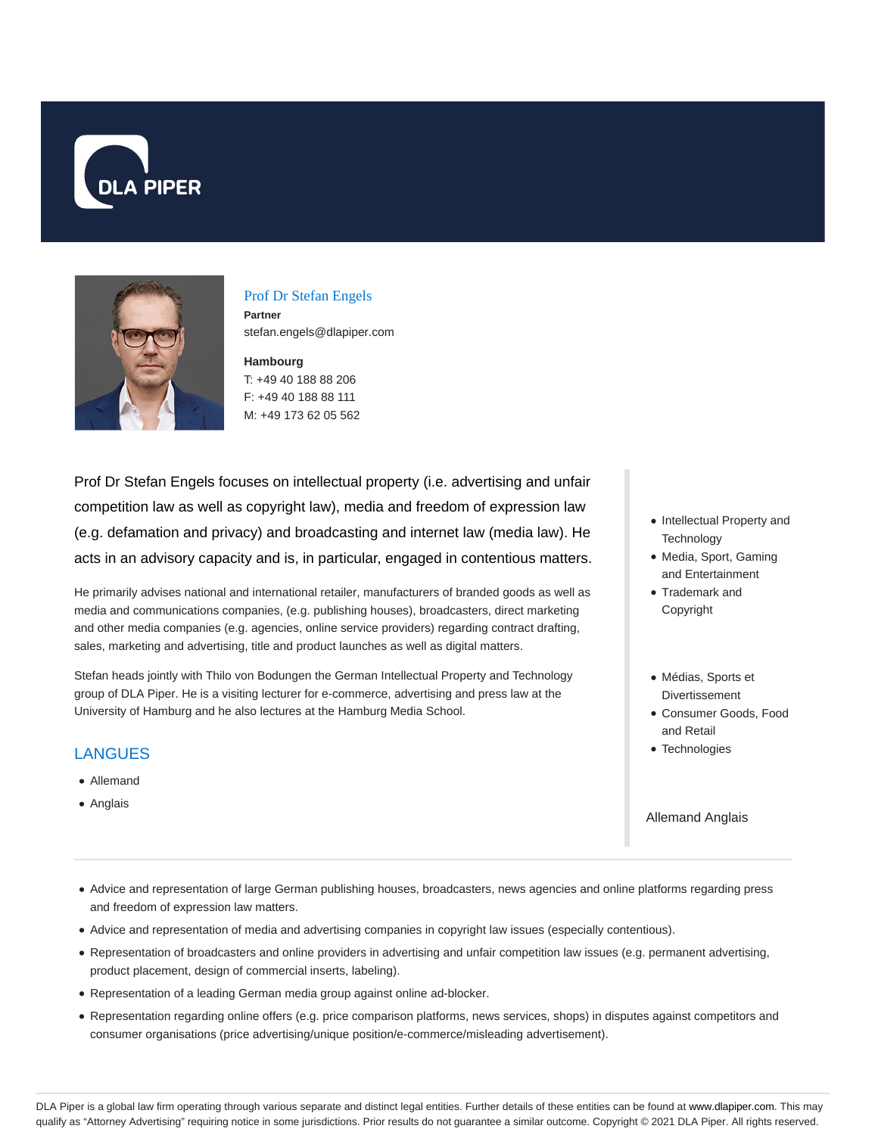



### Prof Dr Stefan Engels

**Partner** stefan.engels@dlapiper.com

### **Hambourg** T: +49 40 188 88 206

F: +49 40 188 88 111 M: +49 173 62 05 562

Prof Dr Stefan Engels focuses on intellectual property (i.e. advertising and unfair competition law as well as copyright law), media and freedom of expression law (e.g. defamation and privacy) and broadcasting and internet law (media law). He acts in an advisory capacity and is, in particular, engaged in contentious matters.

He primarily advises national and international retailer, manufacturers of branded goods as well as media and communications companies, (e.g. publishing houses), broadcasters, direct marketing and other media companies (e.g. agencies, online service providers) regarding contract drafting, sales, marketing and advertising, title and product launches as well as digital matters.

Stefan heads jointly with Thilo von Bodungen the German Intellectual Property and Technology group of DLA Piper. He is a visiting lecturer for e-commerce, advertising and press law at the University of Hamburg and he also lectures at the Hamburg Media School.

## LANGUES

- Allemand
- Anglais
- Intellectual Property and **Technology**
- Media, Sport, Gaming and Entertainment
- Trademark and Copyright
- Médias, Sports et Divertissement
- Consumer Goods, Food and Retail
- Technologies

### Allemand Anglais

- Advice and representation of large German publishing houses, broadcasters, news agencies and online platforms regarding press and freedom of expression law matters.
- Advice and representation of media and advertising companies in copyright law issues (especially contentious).
- Representation of broadcasters and online providers in advertising and unfair competition law issues (e.g. permanent advertising, product placement, design of commercial inserts, labeling).
- Representation of a leading German media group against online ad-blocker.
- Representation regarding online offers (e.g. price comparison platforms, news services, shops) in disputes against competitors and consumer organisations (price advertising/unique position/e-commerce/misleading advertisement).

DLA Piper is a global law firm operating through various separate and distinct legal entities. Further details of these entities can be found at www.dlapiper.com. This may qualify as "Attorney Advertising" requiring notice in some jurisdictions. Prior results do not guarantee a similar outcome. Copyright @ 2021 DLA Piper. All rights reserved.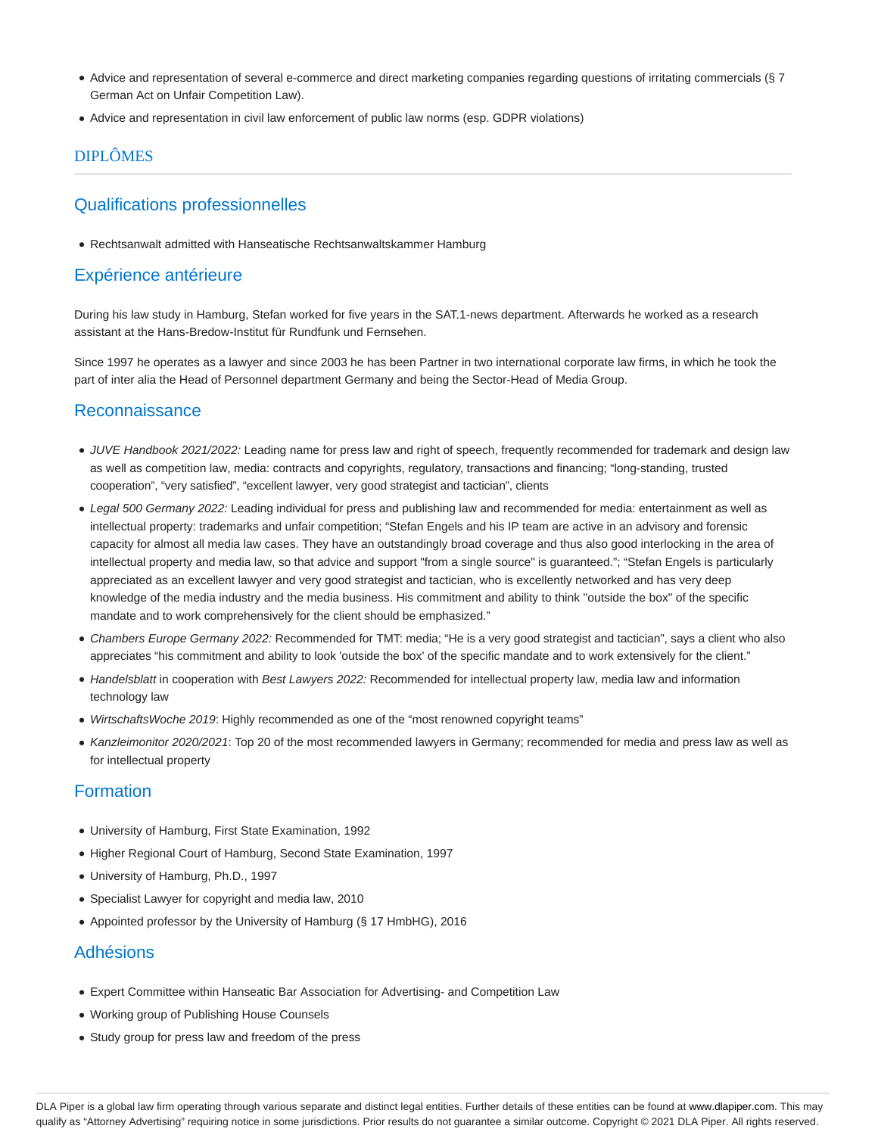- Advice and representation of several e-commerce and direct marketing companies regarding questions of irritating commercials (§ 7 German Act on Unfair Competition Law).
- Advice and representation in civil law enforcement of public law norms (esp. GDPR violations)

# DIPLÔMES

# Qualifications professionnelles

Rechtsanwalt admitted with Hanseatische Rechtsanwaltskammer Hamburg

# Expérience antérieure

During his law study in Hamburg, Stefan worked for five years in the SAT.1-news department. Afterwards he worked as a research assistant at the Hans-Bredow-Institut für Rundfunk und Fernsehen.

Since 1997 he operates as a lawyer and since 2003 he has been Partner in two international corporate law firms, in which he took the part of inter alia the Head of Personnel department Germany and being the Sector-Head of Media Group.

# Reconnaissance

- JUVE Handbook 2021/2022: Leading name for press law and right of speech, frequently recommended for trademark and design law as well as competition law, media: contracts and copyrights, regulatory, transactions and financing; "long-standing, trusted cooperation", "very satisfied", "excellent lawyer, very good strategist and tactician", clients
- Legal 500 Germany 2022: Leading individual for press and publishing law and recommended for media: entertainment as well as intellectual property: trademarks and unfair competition; "Stefan Engels and his IP team are active in an advisory and forensic capacity for almost all media law cases. They have an outstandingly broad coverage and thus also good interlocking in the area of intellectual property and media law, so that advice and support "from a single source" is guaranteed."; "Stefan Engels is particularly appreciated as an excellent lawyer and very good strategist and tactician, who is excellently networked and has very deep knowledge of the media industry and the media business. His commitment and ability to think "outside the box" of the specific mandate and to work comprehensively for the client should be emphasized."
- Chambers Europe Germany 2022: Recommended for TMT: media; "He is a very good strategist and tactician", says a client who also appreciates "his commitment and ability to look 'outside the box' of the specific mandate and to work extensively for the client."
- Handelsblatt in cooperation with Best Lawyers 2022: Recommended for intellectual property law, media law and information technology law
- WirtschaftsWoche 2019: Highly recommended as one of the "most renowned copyright teams"
- Kanzleimonitor 2020/2021: Top 20 of the most recommended lawyers in Germany; recommended for media and press law as well as for intellectual property

# Formation

- University of Hamburg, First State Examination, 1992
- Higher Regional Court of Hamburg, Second State Examination, 1997
- University of Hamburg, Ph.D., 1997
- Specialist Lawyer for copyright and media law, 2010
- Appointed professor by the University of Hamburg (§ 17 HmbHG), 2016

## Adhésions

- Expert Committee within Hanseatic Bar Association for Advertising- and Competition Law
- Working group of Publishing House Counsels
- Study group for press law and freedom of the press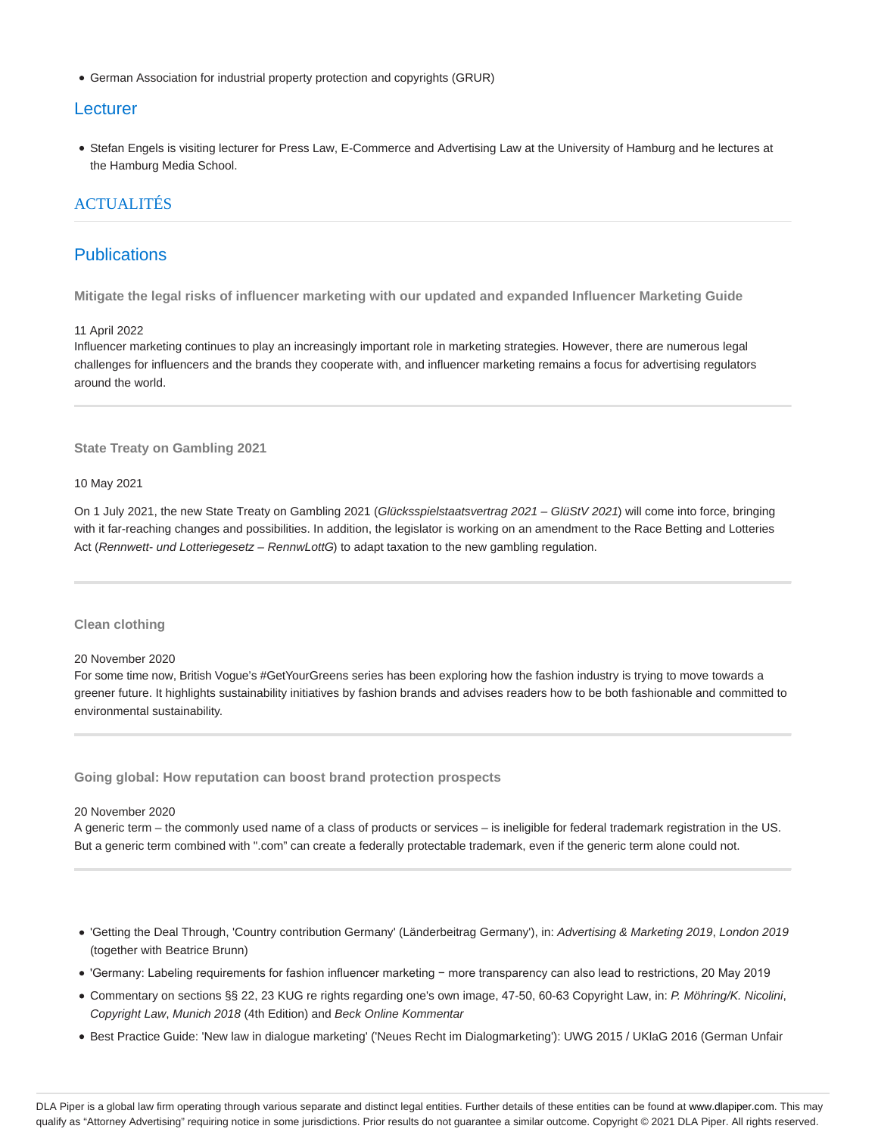German Association for industrial property protection and copyrights (GRUR)

### **Lecturer**

Stefan Engels is visiting lecturer for Press Law, E-Commerce and Advertising Law at the University of Hamburg and he lectures at the Hamburg Media School.

### ACTUALITÉS

## **Publications**

**Mitigate the legal risks of influencer marketing with our updated and expanded Influencer Marketing Guide**

#### 11 April 2022

Influencer marketing continues to play an increasingly important role in marketing strategies. However, there are numerous legal challenges for influencers and the brands they cooperate with, and influencer marketing remains a focus for advertising regulators around the world.

**State Treaty on Gambling 2021**

10 May 2021

On 1 July 2021, the new State Treaty on Gambling 2021 (Glücksspielstaatsvertrag 2021 – GlüStV 2021) will come into force, bringing with it far-reaching changes and possibilities. In addition, the legislator is working on an amendment to the Race Betting and Lotteries Act (Rennwett- und Lotteriegesetz - RennwLottG) to adapt taxation to the new gambling regulation.

### **Clean clothing**

#### 20 November 2020

For some time now, British Vogue's #GetYourGreens series has been exploring how the fashion industry is trying to move towards a greener future. It highlights sustainability initiatives by fashion brands and advises readers how to be both fashionable and committed to environmental sustainability.

**Going global: How reputation can boost brand protection prospects**

#### 20 November 2020

A generic term – the commonly used name of a class of products or services – is ineligible for federal trademark registration in the US. But a generic term combined with ".com" can create a federally protectable trademark, even if the generic term alone could not.

- 'Getting the Deal Through, 'Country contribution Germany' (Länderbeitrag Germany'), in: Advertising & Marketing 2019, London 2019 (together with Beatrice Brunn)
- 'Germany: Labeling requirements for fashion influencer marketing − more transparency can also lead to restrictions, 20 May 2019
- Commentary on sections §§ 22, 23 KUG re rights regarding one's own image, 47-50, 60-63 Copyright Law, in: P. Möhring/K. Nicolini, Copyright Law, Munich 2018 (4th Edition) and Beck Online Kommentar
- Best Practice Guide: 'New law in dialogue marketing' ('Neues Recht im Dialogmarketing'): UWG 2015 / UKlaG 2016 (German Unfair

DLA Piper is a global law firm operating through various separate and distinct legal entities. Further details of these entities can be found at www.dlapiper.com. This may qualify as "Attorney Advertising" requiring notice in some jurisdictions. Prior results do not guarantee a similar outcome. Copyright @ 2021 DLA Piper. All rights reserved.